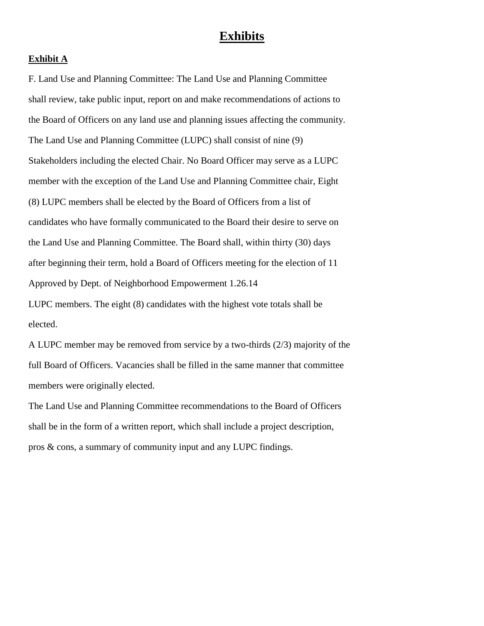# **Exhibits**

#### **Exhibit A**

F. Land Use and Planning Committee: The Land Use and Planning Committee shall review, take public input, report on and make recommendations of actions to the Board of Officers on any land use and planning issues affecting the community. The Land Use and Planning Committee (LUPC) shall consist of nine (9) Stakeholders including the elected Chair. No Board Officer may serve as a LUPC member with the exception of the Land Use and Planning Committee chair, Eight (8) LUPC members shall be elected by the Board of Officers from a list of candidates who have formally communicated to the Board their desire to serve on the Land Use and Planning Committee. The Board shall, within thirty (30) days after beginning their term, hold a Board of Officers meeting for the election of 11 Approved by Dept. of Neighborhood Empowerment 1.26.14 LUPC members. The eight (8) candidates with the highest vote totals shall be

elected.

A LUPC member may be removed from service by a two-thirds (2/3) majority of the full Board of Officers. Vacancies shall be filled in the same manner that committee members were originally elected.

The Land Use and Planning Committee recommendations to the Board of Officers shall be in the form of a written report, which shall include a project description, pros & cons, a summary of community input and any LUPC findings.